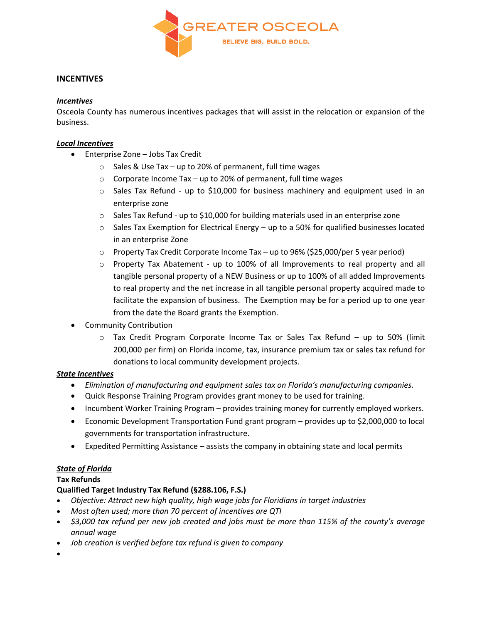

# **INCENTIVES**

#### *Incentives*

Osceola County has numerous incentives packages that will assist in the relocation or expansion of the business.

#### *Local Incentives*

- Enterprise Zone Jobs Tax Credit
	- o Sales & Use Tax up to 20% of permanent, full time wages
	- $\circ$  Corporate Income Tax up to 20% of permanent, full time wages
	- o Sales Tax Refund up to \$10,000 for business machinery and equipment used in an enterprise zone
	- $\circ$  Sales Tax Refund up to \$10,000 for building materials used in an enterprise zone
	- $\circ$  Sales Tax Exemption for Electrical Energy up to a 50% for qualified businesses located in an enterprise Zone
	- $\circ$  Property Tax Credit Corporate Income Tax up to 96% (\$25,000/per 5 year period)
	- $\circ$  Property Tax Abatement up to 100% of all Improvements to real property and all tangible personal property of a NEW Business or up to 100% of all added Improvements to real property and the net increase in all tangible personal property acquired made to facilitate the expansion of business. The Exemption may be for a period up to one year from the date the Board grants the Exemption.
- Community Contribution
	- o Tax Credit Program Corporate Income Tax or Sales Tax Refund up to 50% (limit 200,000 per firm) on Florida income, tax, insurance premium tax or sales tax refund for donations to local community development projects.

# *State Incentives*

- *Elimination of manufacturing and equipment sales tax on Florida's manufacturing companies.*
- Quick Response Training Program provides grant money to be used for training.
- Incumbent Worker Training Program provides training money for currently employed workers.
- Economic Development Transportation Fund grant program provides up to \$2,000,000 to local governments for transportation infrastructure.
- Expedited Permitting Assistance assists the company in obtaining state and local permits

# *State of Florida*

# **Tax Refunds**

# **Qualified Target Industry Tax Refund (§288.106, F.S.)**

- *Objective: Attract new high quality, high wage jobs for Floridians in target industries*
- *Most often used; more than 70 percent of incentives are QTI*
- *\$3,000 tax refund per new job created and jobs must be more than 115% of the county's average annual wage*
- *Job creation is verified before tax refund is given to company*

 $\bullet$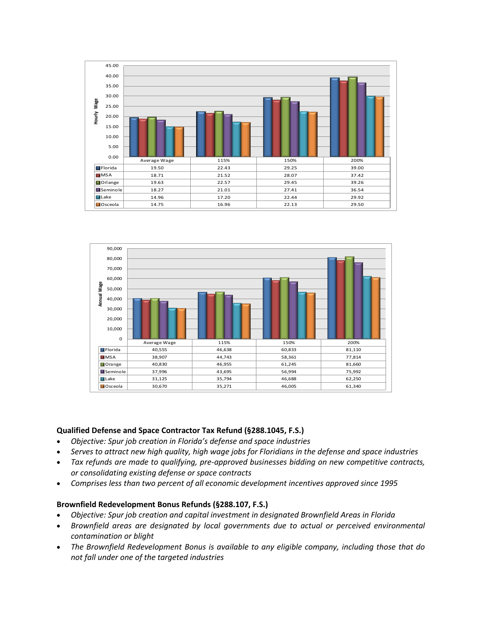



#### **Qualified Defense and Space Contractor Tax Refund (§288.1045, F.S.)**

- *Objective: Spur job creation in Florida's defense and space industries*
- *Serves to attract new high quality, high wage jobs for Floridians in the defense and space industries*
- *Tax refunds are made to qualifying, pre-approved businesses bidding on new competitive contracts, or consolidating existing defense or space contracts*
- *Comprises less than two percent of all economic development incentives approved since 1995*

# **Brownfield Redevelopment Bonus Refunds (§288.107, F.S.)**

- *Objective: Spur job creation and capital investment in designated Brownfield Areas in Florida*
- *Brownfield areas are designated by local governments due to actual or perceived environmental contamination or blight*
- *The Brownfield Redevelopment Bonus is available to any eligible company, including those that do not fall under one of the targeted industries*